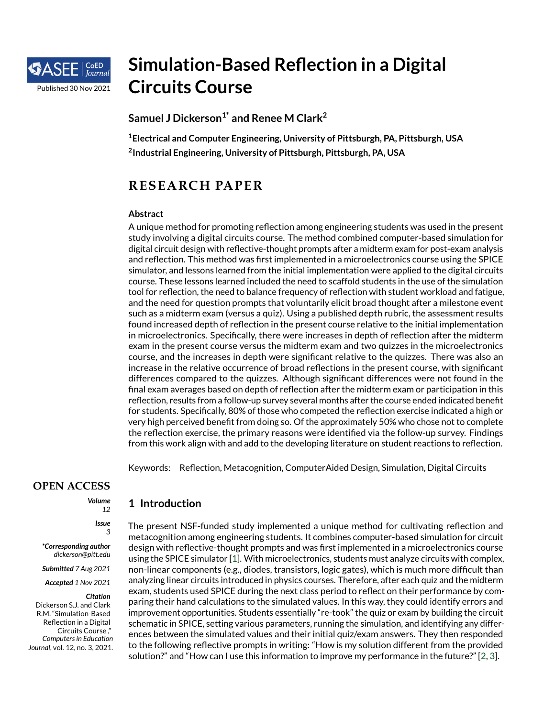

# **Simulation-Based Reflection in a Digital Circuits Course**

**Samuel J Dickerson1\* and Renee M Clark<sup>2</sup>**

**<sup>1</sup>Electrical and Computer Engineering, University of Pittsburgh, PA, Pittsburgh, USA 2 Industrial Engineering, University of Pittsburgh, Pittsburgh, PA, USA**

## **RESEARCH PAPER**

#### **Abstract**

A unique method for promoting reflection among engineering students was used in the present study involving a digital circuits course. The method combined computer-based simulation for digital circuit design with reflective-thought prompts after a midterm exam for post-exam analysis and reflection. This method was first implemented in a microelectronics course using the SPICE simulator, and lessons learned from the initial implementation were applied to the digital circuits course. These lessons learned included the need to scaffold students in the use of the simulation tool for reflection, the need to balance frequency of reflection with student workload and fatigue, and the need for question prompts that voluntarily elicit broad thought after a milestone event such as a midterm exam (versus a quiz). Using a published depth rubric, the assessment results found increased depth of reflection in the present course relative to the initial implementation in microelectronics. Specifically, there were increases in depth of reflection after the midterm exam in the present course versus the midterm exam and two quizzes in the microelectronics course, and the increases in depth were significant relative to the quizzes. There was also an increase in the relative occurrence of broad reflections in the present course, with significant differences compared to the quizzes. Although significant differences were not found in the final exam averages based on depth of reflection after the midterm exam or participation in this reflection, results from a follow-up survey several months after the course ended indicated benefit for students. Specifically, 80% of those who competed the reflection exercise indicated a high or very high perceived benefit from doing so. Of the approximately 50% who chose not to complete the reflection exercise, the primary reasons were identified via the follow-up survey. Findings from this work align with and add to the developing literature on student reactions to reflection.

Keywords: Reflection, Metacognition, ComputerAided Design, Simulation, Digital Circuits

**OPEN ACCESS**

*Volume 12*

> *Issue 3*

*\*Corresponding author dickerson@pitt.edu*

*Submitted 7 Aug 2021*

*Accepted 1 Nov 2021*

#### *Citation*

Dickerson S.J. and Clark R.M. "Simulation-Based Reflection in a Digital Circuits Course ," *Computersin Education Journal*, vol. 12, no. 3, 2021. **1 Introduction**

The present NSF-funded study implemented a unique method for cultivating reflection and metacognition among engineering students. It combines computer-based simulation for circuit design with reflective-thought prompts and was first implemented in a microelectronics course using the SPICE simulator [\[1\]](#page-12-0). With microelectronics, students must analyze circuits with complex, non-linear components (e.g., diodes, transistors, logic gates), which is much more difficult than analyzing linear circuits introduced in physics courses. Therefore, after each quiz and the midterm exam, students used SPICE during the next class period to reflect on their performance by comparing their hand calculations to the simulated values. In this way, they could identify errors and improvement opportunities. Students essentially "re-took" the quiz or exam by building the circuit schematic in SPICE, setting various parameters, running the simulation, and identifying any differences between the simulated values and their initial quiz/exam answers. They then responded to the following reflective prompts in writing: "How is my solution different from the provided solution?" and "How can I use this information to improve my performance in the future?" [\[2,](#page-12-1) [3\]](#page-12-2).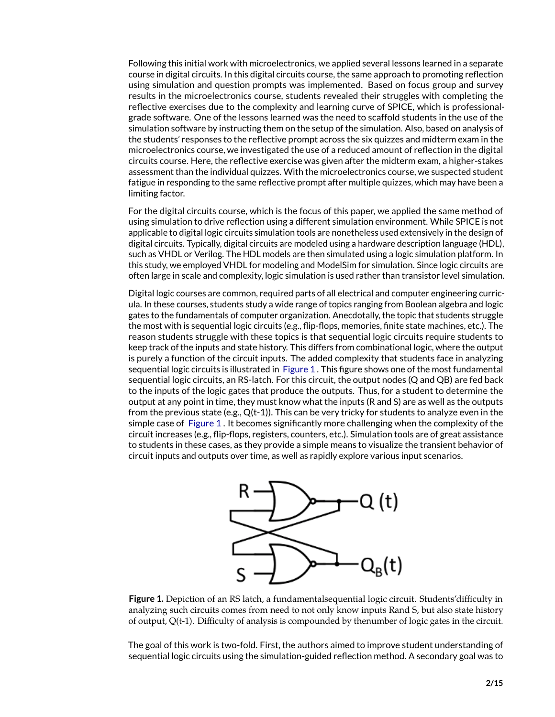Following this initial work with microelectronics, we applied several lessons learned in a separate course in digital circuits. In this digital circuits course, the same approach to promoting reflection using simulation and question prompts was implemented. Based on focus group and survey results in the microelectronics course, students revealed their struggles with completing the reflective exercises due to the complexity and learning curve of SPICE, which is professionalgrade software. One of the lessons learned was the need to scaffold students in the use of the simulation software by instructing them on the setup of the simulation. Also, based on analysis of the students' responses to the reflective prompt across the six quizzes and midterm exam in the microelectronics course, we investigated the use of a reduced amount of reflection in the digital circuits course. Here, the reflective exercise was given after the midterm exam, a higher-stakes assessment than the individual quizzes. With the microelectronics course, we suspected student fatigue in responding to the same reflective prompt after multiple quizzes, which may have been a limiting factor.

For the digital circuits course, which is the focus of this paper, we applied the same method of using simulation to drive reflection using a different simulation environment. While SPICE is not applicable to digital logic circuits simulation tools are nonetheless used extensively in the design of digital circuits. Typically, digital circuits are modeled using a hardware description language (HDL), such as VHDL or Verilog. The HDL models are then simulated using a logic simulation platform. In this study, we employed VHDL for modeling and ModelSim for simulation. Since logic circuits are often large in scale and complexity, logic simulation is used rather than transistor level simulation.

Digital logic courses are common, required parts of all electrical and computer engineering curricula. In these courses, students study a wide range of topics ranging from Boolean algebra and logic gates to the fundamentals of computer organization. Anecdotally, the topic that students struggle the most with is sequential logic circuits (e.g., flip-flops, memories, finite state machines, etc.). The reason students struggle with these topics is that sequential logic circuits require students to keep track of the inputs and state history. This differs from combinational logic, where the output is purely a function of the circuit inputs. The added complexity that students face in analyzing sequential logic circuits is illustrated in [Figure 1](#page-1-0) . This figure shows one of the most fundamental sequential logic circuits, an RS-latch. For this circuit, the output nodes (Q and QB) are fed back to the inputs of the logic gates that produce the outputs. Thus, for a student to determine the output at any point in time, they must know what the inputs (R and S) are as well as the outputs from the previous state (e.g.,  $Q(t-1)$ ). This can be very tricky for students to analyze even in the simple case of [Figure 1](#page-1-0) . It becomes significantly more challenging when the complexity of the circuit increases (e.g., flip-flops, registers, counters, etc.). Simulation tools are of great assistance to students in these cases, as they provide a simple means to visualize the transient behavior of circuit inputs and outputs over time, as well as rapidly explore various input scenarios.



<span id="page-1-0"></span>**Figure 1.** Depiction of an RS latch, a fundamentalsequential logic circuit. Students'difficulty in analyzing such circuits comes from need to not only know inputs Rand S, but also state history of output, Q(t-1). Difficulty of analysis is compounded by thenumber of logic gates in the circuit.

The goal of this work is two-fold. First, the authors aimed to improve student understanding of sequential logic circuits using the simulation-guided reflection method. A secondary goal was to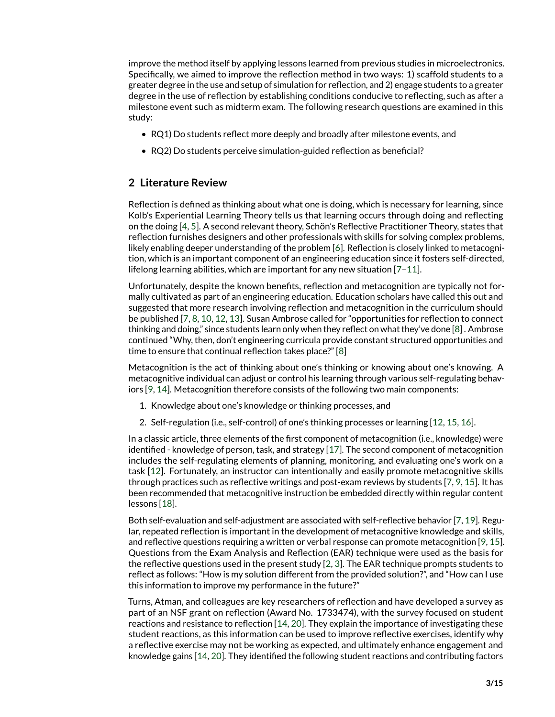improve the method itself by applying lessons learned from previous studies in microelectronics. Specifically, we aimed to improve the reflection method in two ways: 1) scaffold students to a greater degree in the use and setup of simulation for reflection, and 2) engage students to a greater degree in the use of reflection by establishing conditions conducive to reflecting, such as after a milestone event such as midterm exam. The following research questions are examined in this study:

- RQ1) Do students reflect more deeply and broadly after milestone events, and
- RQ2) Do students perceive simulation-guided reflection as beneficial?

## **2 Literature Review**

Reflection is defined as thinking about what one is doing, which is necessary for learning, since Kolb's Experiential Learning Theory tells us that learning occurs through doing and reflecting on the doing [\[4,](#page-13-0) [5\]](#page-13-1). A second relevant theory, Schön's Reflective Practitioner Theory, states that reflection furnishes designers and other professionals with skills for solving complex problems, likely enabling deeper understanding of the problem [\[6\]](#page-13-2). Reflection is closely linked to metacognition, which is an important component of an engineering education since it fosters self-directed, lifelong learning abilities, which are important for any new situation [\[7](#page-13-3)[–11\]](#page-13-4).

Unfortunately, despite the known benefits, reflection and metacognition are typically not formally cultivated as part of an engineering education. Education scholars have called this out and suggested that more research involving reflection and metacognition in the curriculum should be published [\[7,](#page-13-3) [8,](#page-13-5) [10,](#page-13-6) [12,](#page-13-7) [13\]](#page-13-8). Susan Ambrose called for "opportunities for reflection to connect thinking and doing," since students learn only when they reflect on what they've done [\[8\]](#page-13-5) . Ambrose continued "Why, then, don't engineering curricula provide constant structured opportunities and time to ensure that continual reflection takes place?" [\[8\]](#page-13-5)

Metacognition is the act of thinking about one's thinking or knowing about one's knowing. A metacognitive individual can adjust or control his learning through various self-regulating behaviors [\[9,](#page-13-9) [14\]](#page-13-10). Metacognition therefore consists of the following two main components:

- 1. Knowledge about one's knowledge or thinking processes, and
- 2. Self-regulation (i.e., self-control) of one's thinking processes or learning [\[12,](#page-13-7) [15,](#page-13-11) [16\]](#page-13-12).

In a classic article, three elements of the first component of metacognition (i.e., knowledge) were identified - knowledge of person, task, and strategy [\[17\]](#page-13-13). The second component of metacognition includes the self-regulating elements of planning, monitoring, and evaluating one's work on a task [\[12\]](#page-13-7). Fortunately, an instructor can intentionally and easily promote metacognitive skills through practices such as reflective writings and post-exam reviews by students [\[7,](#page-13-3) [9,](#page-13-9) [15\]](#page-13-11). It has been recommended that metacognitive instruction be embedded directly within regular content lessons [\[18\]](#page-13-14).

Both self-evaluation and self-adjustment are associated with self-reflective behavior [\[7,](#page-13-3) [19\]](#page-13-15). Regular, repeated reflection is important in the development of metacognitive knowledge and skills, and reflective questions requiring a written or verbal response can promote metacognition [\[9,](#page-13-9) [15\]](#page-13-11). Questions from the Exam Analysis and Reflection (EAR) technique were used as the basis for the reflective questions used in the present study [\[2,](#page-12-1) [3\]](#page-12-2). The EAR technique prompts students to reflect as follows: "How is my solution different from the provided solution?", and "How can I use this information to improve my performance in the future?"

Turns, Atman, and colleagues are key researchers of reflection and have developed a survey as part of an NSF grant on reflection (Award No. 1733474), with the survey focused on student reactions and resistance to reflection [\[14,](#page-13-10) [20\]](#page-13-16). They explain the importance of investigating these student reactions, as this information can be used to improve reflective exercises, identify why a reflective exercise may not be working as expected, and ultimately enhance engagement and knowledge gains [\[14,](#page-13-10) [20\]](#page-13-16). They identified the following student reactions and contributing factors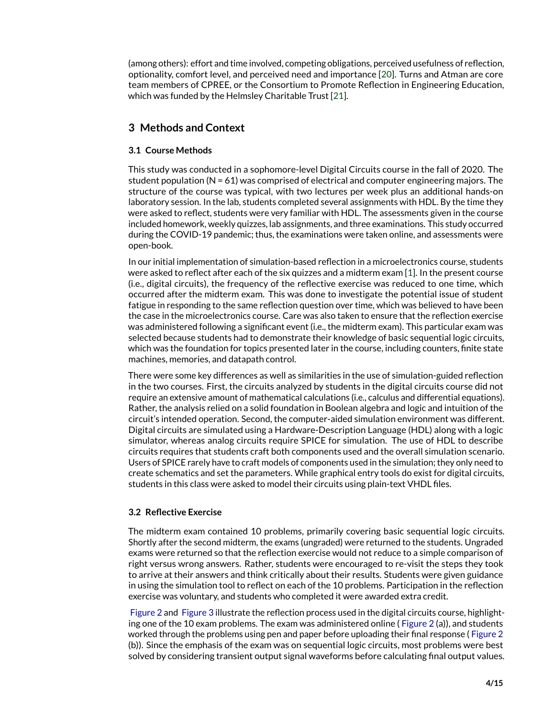(among others): effort and time involved, competing obligations, perceived usefulness of reflection, optionality, comfort level, and perceived need and importance [\[20\]](#page-13-16). Turns and Atman are core team members of CPREE, or the Consortium to Promote Reflection in Engineering Education, which was funded by the Helmsley Charitable Trust [\[21\]](#page-13-17).

## **3 Methods and Context**

#### **3.1 Course Methods**

This study was conducted in a sophomore-level Digital Circuits course in the fall of 2020. The student population (N = 61) was comprised of electrical and computer engineering majors. The structure of the course was typical, with two lectures per week plus an additional hands-on laboratory session. In the lab, students completed several assignments with HDL. By the time they were asked to reflect, students were very familiar with HDL. The assessments given in the course included homework, weekly quizzes, lab assignments, and three examinations. This study occurred during the COVID-19 pandemic; thus, the examinations were taken online, and assessments were open-book.

In our initial implementation of simulation-based reflection in a microelectronics course, students were asked to reflect after each of the six quizzes and a midterm exam [\[1\]](#page-12-0). In the present course (i.e., digital circuits), the frequency of the reflective exercise was reduced to one time, which occurred after the midterm exam. This was done to investigate the potential issue of student fatigue in responding to the same reflection question over time, which was believed to have been the case in the microelectronics course. Care was also taken to ensure that the reflection exercise was administered following a significant event (i.e., the midterm exam). This particular exam was selected because students had to demonstrate their knowledge of basic sequential logic circuits, which was the foundation for topics presented later in the course, including counters, finite state machines, memories, and datapath control.

There were some key differences as well as similarities in the use of simulation-guided reflection in the two courses. First, the circuits analyzed by students in the digital circuits course did not require an extensive amount of mathematical calculations (i.e., calculus and differential equations). Rather, the analysis relied on a solid foundation in Boolean algebra and logic and intuition of the circuit's intended operation. Second, the computer-aided simulation environment was different. Digital circuits are simulated using a Hardware-Description Language (HDL) along with a logic simulator, whereas analog circuits require SPICE for simulation. The use of HDL to describe circuits requires that students craft both components used and the overall simulation scenario. Users of SPICE rarely have to craft models of components used in the simulation; they only need to create schematics and set the parameters. While graphical entry tools do exist for digital circuits, students in this class were asked to model their circuits using plain-text VHDL files.

#### **3.2 Reflective Exercise**

The midterm exam contained 10 problems, primarily covering basic sequential logic circuits. Shortly after the second midterm, the exams (ungraded) were returned to the students. Ungraded exams were returned so that the reflection exercise would not reduce to a simple comparison of right versus wrong answers. Rather, students were encouraged to re-visit the steps they took to arrive at their answers and think critically about their results. Students were given guidance in using the simulation tool to reflect on each of the 10 problems. Participation in the reflection exercise was voluntary, and students who completed it were awarded extra credit.

[Figure 2](#page-5-0) and [Figure 3](#page-6-0) illustrate the reflection process used in the digital circuits course, highlighting one of the 10 exam problems. The exam was administered online ( [Figure 2](#page-5-0) (a)), and students worked through the problems using pen and paper before uploading their final response ( [Figure 2](#page-5-0) (b)). Since the emphasis of the exam was on sequential logic circuits, most problems were best solved by considering transient output signal waveforms before calculating final output values.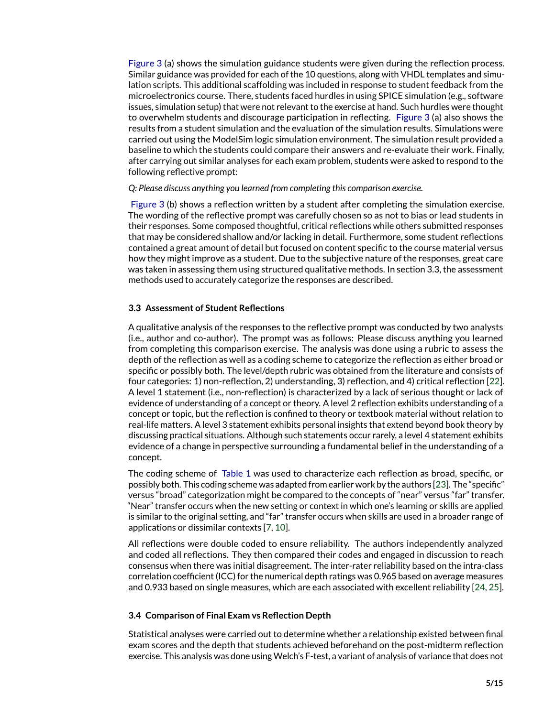[Figure 3](#page-6-0) (a) shows the simulation guidance students were given during the reflection process. Similar guidance was provided for each of the 10 questions, along with VHDL templates and simulation scripts. This additional scaffolding was included in response to student feedback from the microelectronics course. There, students faced hurdles in using SPICE simulation (e.g., software issues, simulation setup) that were not relevant to the exercise at hand. Such hurdles were thought to overwhelm students and discourage participation in reflecting. [Figure 3](#page-6-0) (a) also shows the results from a student simulation and the evaluation of the simulation results. Simulations were carried out using the ModelSim logic simulation environment. The simulation result provided a baseline to which the students could compare their answers and re-evaluate their work. Finally, after carrying out similar analyses for each exam problem, students were asked to respond to the following reflective prompt:

#### *Q: Please discuss anything you learned from completing this comparison exercise.*

[Figure 3](#page-6-0) (b) shows a reflection written by a student after completing the simulation exercise. The wording of the reflective prompt was carefully chosen so as not to bias or lead students in their responses. Some composed thoughtful, critical reflections while others submitted responses that may be considered shallow and/or lacking in detail. Furthermore, some student reflections contained a great amount of detail but focused on content specific to the course material versus how they might improve as a student. Due to the subjective nature of the responses, great care was taken in assessing them using structured qualitative methods. In section 3.3, the assessment methods used to accurately categorize the responses are described.

#### **3.3 Assessment of Student Reflections**

A qualitative analysis of the responses to the reflective prompt was conducted by two analysts (i.e., author and co-author). The prompt was as follows: Please discuss anything you learned from completing this comparison exercise. The analysis was done using a rubric to assess the depth of the reflection as well as a coding scheme to categorize the reflection as either broad or specific or possibly both. The level/depth rubric was obtained from the literature and consists of four categories: 1) non-reflection, 2) understanding, 3) reflection, and 4) critical reflection [\[22\]](#page-14-0). A level 1 statement (i.e., non-reflection) is characterized by a lack of serious thought or lack of evidence of understanding of a concept or theory. A level 2 reflection exhibits understanding of a concept or topic, but the reflection is confined to theory or textbook material without relation to real-life matters. A level 3 statement exhibits personal insights that extend beyond book theory by discussing practical situations. Although such statements occur rarely, a level 4 statement exhibits evidence of a change in perspective surrounding a fundamental belief in the understanding of a concept.

The coding scheme of [Table 1](#page-7-0) was used to characterize each reflection as broad, specific, or possibly both. This coding scheme was adapted from earlier work by the authors [\[23\]](#page-14-1). The "specific" versus "broad" categorization might be compared to the concepts of "near" versus "far" transfer. "Near" transfer occurs when the new setting or context in which one's learning or skills are applied is similar to the original setting, and "far" transfer occurs when skills are used in a broader range of applications or dissimilar contexts [\[7,](#page-13-3) [10\]](#page-13-6).

All reflections were double coded to ensure reliability. The authors independently analyzed and coded all reflections. They then compared their codes and engaged in discussion to reach consensus when there was initial disagreement. The inter-rater reliability based on the intra-class correlation coefficient (ICC) for the numerical depth ratings was 0.965 based on average measures and 0.933 based on single measures, which are each associated with excellent reliability [\[24,](#page-14-2) [25\]](#page-14-3).

#### **3.4 Comparison of Final Exam vs Reflection Depth**

Statistical analyses were carried out to determine whether a relationship existed between final exam scores and the depth that students achieved beforehand on the post-midterm reflection exercise. This analysis was done using Welch's F-test, a variant of analysis of variance that does not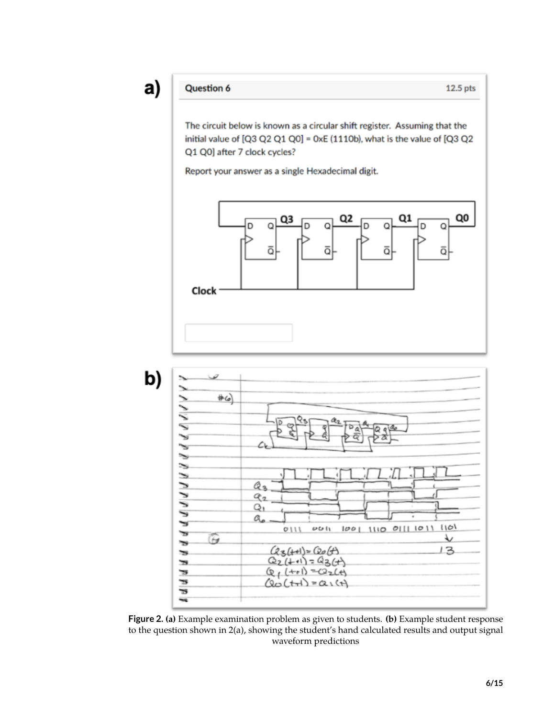## Question 6

The circuit below is known as a circular shift register. Assuming that the initial value of [Q3 Q2 Q1 Q0] = 0xE (1110b), what is the value of [Q3 Q2 Q1 Q0] after 7 clock cycles?

Report your answer as a single Hexadecimal digit.





<span id="page-5-0"></span>Figure 2. (a) Example examination problem as given to students. (b) Example student response to the question shown in 2(a), showing the student's hand calculated results and output signal waveform predictions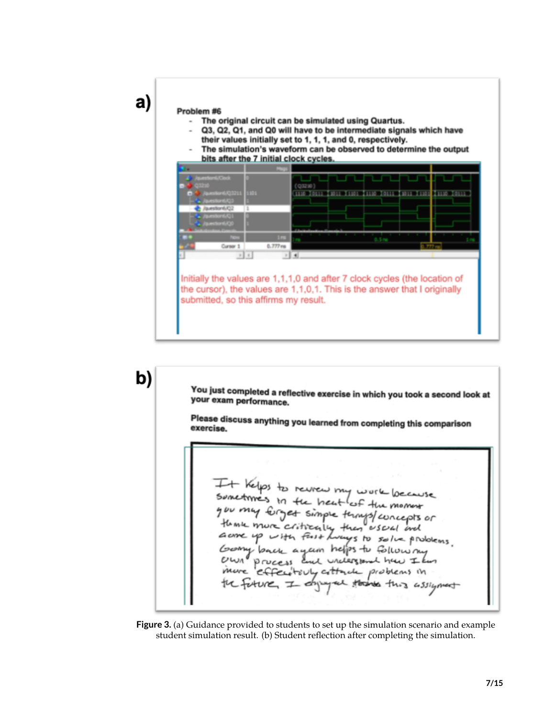

a)

- The original circuit can be simulated using Quartus.
- Q3, Q2, Q1, and Q0 will have to be intermediate signals which have their values initially set to 1, 1, 1, and 0, respectively.
- The simulation's waveform can be observed to determine the output bits after the 7 initial clock cycles.



b) You just completed a reflective exercise in which you took a second look at<br>your exam performance your exam performance. Please discuss anything you learned from completing this comparison<br>exercise. exercise. It Kelps to review my work because Sunctimes in the heat of the moment you my forget simple terms/concepts or thank more critically they useral and Gome up with fast hungs to solve problems. Gerry back yam helps to following understand haw It  $\boldsymbol{\mathit{v}}$ mure ال نيم من cottach problems in the future this assigned

<span id="page-6-0"></span>**Figure 3.** (a) Guidance provided to students to set up the simulation scenario and example student simulation result. (b) Student reflection after completing the simulation.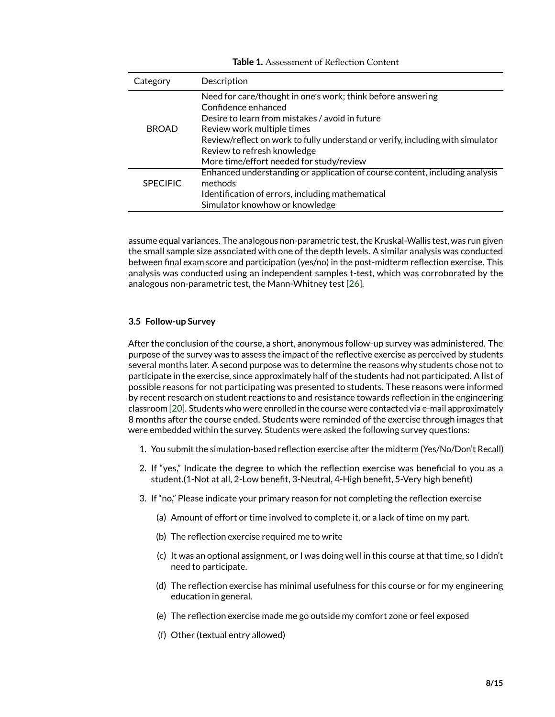| Category        | Description                                                                    |
|-----------------|--------------------------------------------------------------------------------|
|                 | Need for care/thought in one's work; think before answering                    |
| <b>BROAD</b>    | Confidence enhanced                                                            |
|                 | Desire to learn from mistakes / avoid in future                                |
|                 | Review work multiple times                                                     |
|                 | Review/reflect on work to fully understand or verify, including with simulator |
|                 | Review to refresh knowledge                                                    |
|                 | More time/effort needed for study/review                                       |
|                 | Enhanced understanding or application of course content, including analysis    |
| <b>SPECIFIC</b> | methods                                                                        |
|                 | Identification of errors, including mathematical                               |
|                 | Simulator knowhow or knowledge                                                 |

<span id="page-7-0"></span>**Table 1.** Assessment of Reflection Content

assume equal variances. The analogous non-parametric test, the Kruskal-Wallis test, was run given the small sample size associated with one of the depth levels. A similar analysis was conducted between final exam score and participation (yes/no) in the post-midterm reflection exercise. This analysis was conducted using an independent samples t-test, which was corroborated by the analogous non-parametric test, the Mann-Whitney test [\[26\]](#page-14-4).

#### **3.5 Follow-up Survey**

After the conclusion of the course, a short, anonymous follow-up survey was administered. The purpose of the survey was to assess the impact of the reflective exercise as perceived by students several months later. A second purpose was to determine the reasons why students chose not to participate in the exercise, since approximately half of the students had not participated. A list of possible reasons for not participating was presented to students. These reasons were informed by recent research on student reactions to and resistance towards reflection in the engineering classroom [\[20\]](#page-13-16). Students who were enrolled in the course were contacted via e-mail approximately 8 months after the course ended. Students were reminded of the exercise through images that were embedded within the survey. Students were asked the following survey questions:

- 1. You submit the simulation-based reflection exercise after the midterm (Yes/No/Don't Recall)
- 2. If "yes," Indicate the degree to which the reflection exercise was beneficial to you as a student.(1-Not at all, 2-Low benefit, 3-Neutral, 4-High benefit, 5-Very high benefit)
- 3. If "no," Please indicate your primary reason for not completing the reflection exercise
	- (a) Amount of effort or time involved to complete it, or a lack of time on my part.
	- (b) The reflection exercise required me to write
	- (c) It was an optional assignment, or I was doing well in this course at that time, so I didn't need to participate.
	- (d) The reflection exercise has minimal usefulness for this course or for my engineering education in general.
	- (e) The reflection exercise made me go outside my comfort zone or feel exposed
	- (f) Other (textual entry allowed)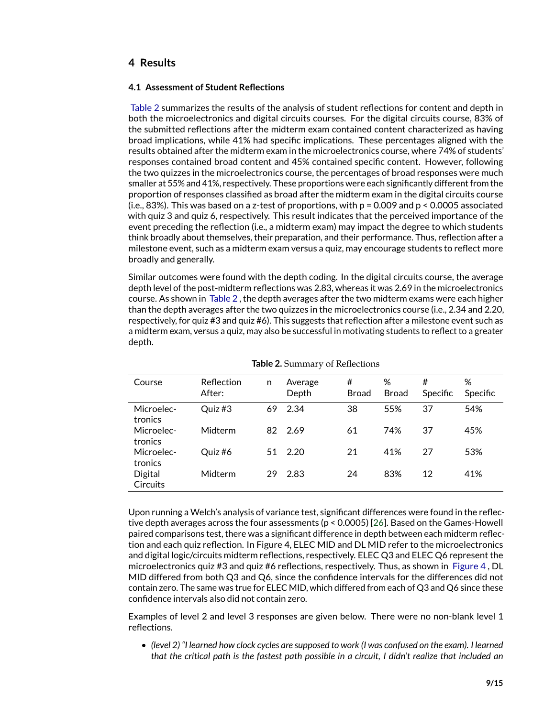## **4 Results**

#### **4.1 Assessment of Student Reflections**

[Table 2](#page-8-0) summarizes the results of the analysis of student reflections for content and depth in both the microelectronics and digital circuits courses. For the digital circuits course, 83% of the submitted reflections after the midterm exam contained content characterized as having broad implications, while 41% had specific implications. These percentages aligned with the results obtained after the midterm exam in the microelectronics course, where 74% of students' responses contained broad content and 45% contained specific content. However, following the two quizzes in the microelectronics course, the percentages of broad responses were much smaller at 55% and 41%, respectively. These proportions were each significantly different from the proportion of responses classified as broad after the midterm exam in the digital circuits course (i.e., 83%). This was based on a z-test of proportions, with  $p = 0.009$  and  $p < 0.0005$  associated with quiz 3 and quiz 6, respectively. This result indicates that the perceived importance of the event preceding the reflection (i.e., a midterm exam) may impact the degree to which students think broadly about themselves, their preparation, and their performance. Thus, reflection after a milestone event, such as a midterm exam versus a quiz, may encourage students to reflect more broadly and generally.

Similar outcomes were found with the depth coding. In the digital circuits course, the average depth level of the post-midterm reflections was 2.83, whereas it was 2.69 in the microelectronics course. As shown in [Table 2](#page-8-0) , the depth averages after the two midterm exams were each higher than the depth averages after the two quizzes in the microelectronics course (i.e., 2.34 and 2.20, respectively, for quiz #3 and quiz #6). This suggests that reflection after a milestone event such as a midterm exam, versus a quiz, may also be successful in motivating students to reflect to a greater depth.

| Course                     | Reflection<br>After: | n  | Average<br>Depth | #<br><b>Broad</b> | ℅<br><b>Broad</b> | #<br>Specific | %<br>Specific |
|----------------------------|----------------------|----|------------------|-------------------|-------------------|---------------|---------------|
| Microelec-<br>tronics      | Quiz #3              | 69 | 2.34             | 38                | 55%               | 37            | 54%           |
| Microelec-<br>tronics      | Midterm              | 82 | 2.69             | 61                | 74%               | 37            | 45%           |
| Microelec-<br>tronics      | Quiz #6              | 51 | 2.20             | 21                | 41%               | 27            | 53%           |
| Digital<br><b>Circuits</b> | Midterm              | 29 | 2.83             | 24                | 83%               | 12            | 41%           |

<span id="page-8-0"></span>

Upon running a Welch's analysis of variance test, significant differences were found in the reflective depth averages across the four assessments (p < 0.0005) [\[26\]](#page-14-4). Based on the Games-Howell paired comparisons test, there was a significant difference in depth between each midterm reflection and each quiz reflection. In Figure 4, ELEC MID and DL MID refer to the microelectronics and digital logic/circuits midterm reflections, respectively. ELEC Q3 and ELEC Q6 represent the microelectronics quiz #3 and quiz #6 reflections, respectively. Thus, as shown in [Figure 4](#page-9-0) , DL MID differed from both Q3 and Q6, since the confidence intervals for the differences did not contain zero. The same was true for ELEC MID, which differed from each of Q3 and Q6 since these confidence intervals also did not contain zero.

Examples of level 2 and level 3 responses are given below. There were no non-blank level 1 reflections.

• *(level 2) "I learned how clock cycles are supposed to work (I was confused on the exam). I learned that the critical path is the fastest path possible in a circuit, I didn't realize that included an*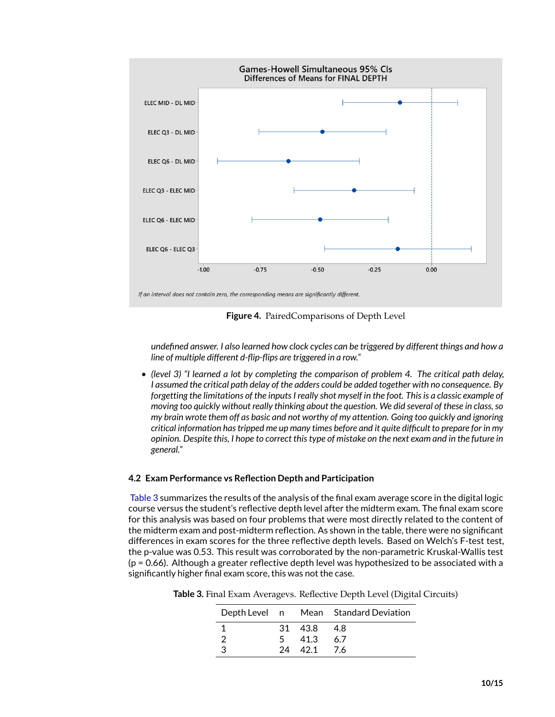

<span id="page-9-0"></span>**Figure 4.** PairedComparisons of Depth Level

*undefined answer. I also learned how clock cycles can be triggered by different things and how a line of multiple different d-flip-flips are triggered in a row."*

• *(level 3) "I learned a lot by completing the comparison of problem 4. The critical path delay, I assumed the critical path delay of the adders could be added together with no consequence. By forgetting the limitations of the inputs I really shot myself in the foot. This is a classic example of moving too quickly without really thinking about the question. We did several of these in class, so my brain wrote them off as basic and not worthy of my attention. Going too quickly and ignoring critical information has tripped me up many times before and it quite difficult to prepare for in my opinion. Despite this, I hope to correct this type of mistake on the next exam and in the future in general."*

#### **4.2 Exam Performance vs Reflection Depth and Participation**

[Table 3](#page-9-1) summarizes the results of the analysis of the final exam average score in the digital logic course versus the student's reflective depth level after the midterm exam. The final exam score for this analysis was based on four problems that were most directly related to the content of the midterm exam and post-midterm reflection. As shown in the table, there were no significant differences in exam scores for the three reflective depth levels. Based on Welch's F-test test, the p-value was 0.53. This result was corroborated by the non-parametric Kruskal-Wallis test (p = 0.66). Although a greater reflective depth level was hypothesized to be associated with a significantly higher final exam score, this was not the case.

<span id="page-9-1"></span>

|  |           | Depth Level n Mean Standard Deviation |
|--|-----------|---------------------------------------|
|  | 31 438 48 |                                       |
|  | 5 41.3    | 67                                    |
|  | 24 421 76 |                                       |

**Table 3.** Final Exam Averagevs. Reflective Depth Level (Digital Circuits)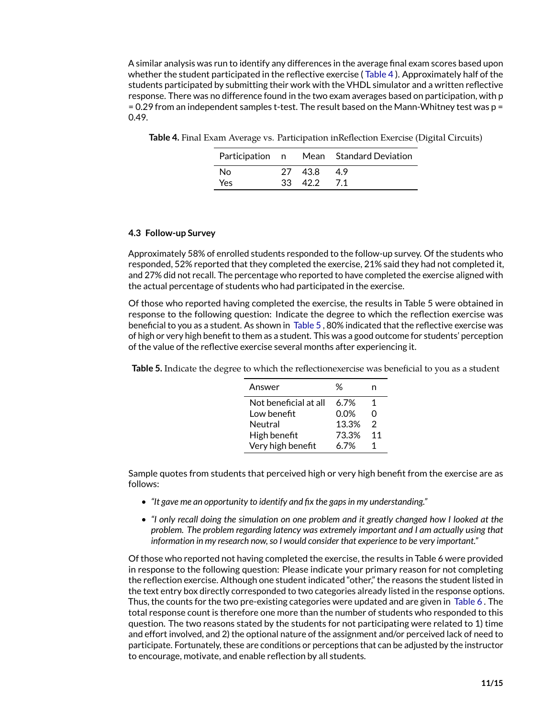A similar analysis was run to identify any differences in the average final exam scores based upon whether the student participated in the reflective exercise ( [Table 4](#page-10-0) ). Approximately half of the students participated by submitting their work with the VHDL simulator and a written reflective response. There was no difference found in the two exam averages based on participation, with p  $= 0.29$  from an independent samples t-test. The result based on the Mann-Whitney test was  $p =$ 0.49.

<span id="page-10-0"></span>**Table 4.** Final Exam Average vs. Participation inReflection Exercise (Digital Circuits)

|     |             | Participation n Mean Standard Deviation |  |  |
|-----|-------------|-----------------------------------------|--|--|
| No  | 27 438      | 49                                      |  |  |
| Yes | 33 42.2 7.1 |                                         |  |  |

#### **4.3 Follow-up Survey**

Approximately 58% of enrolled students responded to the follow-up survey. Of the students who responded, 52% reported that they completed the exercise, 21% said they had not completed it, and 27% did not recall. The percentage who reported to have completed the exercise aligned with the actual percentage of students who had participated in the exercise.

Of those who reported having completed the exercise, the results in Table 5 were obtained in response to the following question: Indicate the degree to which the reflection exercise was beneficial to you as a student. As shown in [Table 5](#page-10-1) , 80% indicated that the reflective exercise was of high or very high benefit to them as a student. This was a good outcome for students' perception of the value of the reflective exercise several months after experiencing it.

<span id="page-10-1"></span>**Table 5.** Indicate the degree to which the reflectionexercise was beneficial to you as a student

| Answer                | %     | n  |
|-----------------------|-------|----|
| Not beneficial at all | 6.7%  | 1  |
| Low benefit           | 0.0%  | O  |
| Neutral               | 13.3% | 2  |
| High benefit          | 73.3% | 11 |
| Very high benefit     | 6.7%  | 1  |
|                       |       |    |

Sample quotes from students that perceived high or very high benefit from the exercise are as follows:

- *"It gave me an opportunity to identify and fix the gaps in my understanding."*
- *"I only recall doing the simulation on one problem and it greatly changed how I looked at the problem. The problem regarding latency was extremely important and I am actually using that information in my research now, so I would consider that experience to be very important."*

Of those who reported not having completed the exercise, the results in Table 6 were provided in response to the following question: Please indicate your primary reason for not completing the reflection exercise. Although one student indicated "other," the reasons the student listed in the text entry box directly corresponded to two categories already listed in the response options. Thus, the counts for the two pre-existing categories were updated and are given in [Table 6](#page-11-0) . The total response count is therefore one more than the number of students who responded to this question. The two reasons stated by the students for not participating were related to 1) time and effort involved, and 2) the optional nature of the assignment and/or perceived lack of need to participate. Fortunately, these are conditions or perceptions that can be adjusted by the instructor to encourage, motivate, and enable reflection by all students.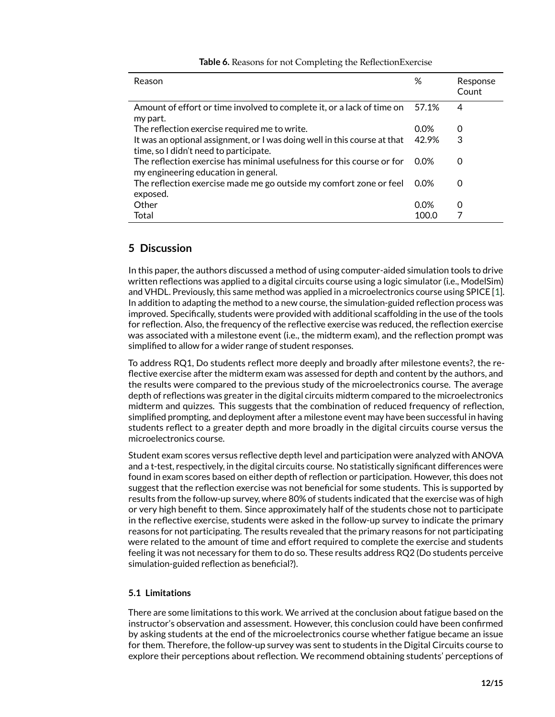| Reason                                                                                                              | %       | Response<br>Count |
|---------------------------------------------------------------------------------------------------------------------|---------|-------------------|
| Amount of effort or time involved to complete it, or a lack of time on<br>my part.                                  | 57.1%   | 4                 |
| The reflection exercise required me to write.                                                                       | $0.0\%$ | O                 |
| It was an optional assignment, or I was doing well in this course at that<br>time, so I didn't need to participate. | 42.9%   | 3                 |
| The reflection exercise has minimal usefulness for this course or for<br>my engineering education in general.       | 0.0%    | 0                 |
| The reflection exercise made me go outside my comfort zone or feel<br>exposed.                                      | $0.0\%$ | 0                 |
| Other                                                                                                               | $0.0\%$ | 0                 |
| Total                                                                                                               | 100.0   |                   |

#### <span id="page-11-0"></span>**Table 6.** Reasons for not Completing the ReflectionExercise

## **5 Discussion**

In this paper, the authors discussed a method of using computer-aided simulation tools to drive written reflections was applied to a digital circuits course using a logic simulator (i.e., ModelSim) and VHDL. Previously, this same method was applied in a microelectronics course using SPICE [\[1\]](#page-12-0). In addition to adapting the method to a new course, the simulation-guided reflection process was improved. Specifically, students were provided with additional scaffolding in the use of the tools for reflection. Also, the frequency of the reflective exercise was reduced, the reflection exercise was associated with a milestone event (i.e., the midterm exam), and the reflection prompt was simplified to allow for a wider range of student responses.

To address RQ1, Do students reflect more deeply and broadly after milestone events?, the reflective exercise after the midterm exam was assessed for depth and content by the authors, and the results were compared to the previous study of the microelectronics course. The average depth of reflections was greater in the digital circuits midterm compared to the microelectronics midterm and quizzes. This suggests that the combination of reduced frequency of reflection, simplified prompting, and deployment after a milestone event may have been successful in having students reflect to a greater depth and more broadly in the digital circuits course versus the microelectronics course.

Student exam scores versus reflective depth level and participation were analyzed with ANOVA and a t-test, respectively, in the digital circuits course. No statistically significant differences were found in exam scores based on either depth of reflection or participation. However, this does not suggest that the reflection exercise was not beneficial for some students. This is supported by results from the follow-up survey, where 80% of students indicated that the exercise was of high or very high benefit to them. Since approximately half of the students chose not to participate in the reflective exercise, students were asked in the follow-up survey to indicate the primary reasons for not participating. The results revealed that the primary reasons for not participating were related to the amount of time and effort required to complete the exercise and students feeling it was not necessary for them to do so. These results address RQ2 (Do students perceive simulation-guided reflection as beneficial?).

#### **5.1 Limitations**

There are some limitations to this work. We arrived at the conclusion about fatigue based on the instructor's observation and assessment. However, this conclusion could have been confirmed by asking students at the end of the microelectronics course whether fatigue became an issue for them. Therefore, the follow-up survey was sent to students in the Digital Circuits course to explore their perceptions about reflection. We recommend obtaining students' perceptions of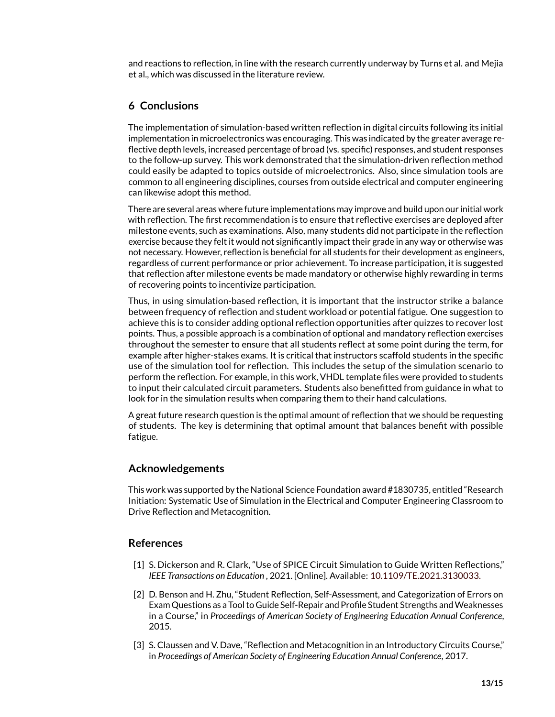and reactions to reflection, in line with the research currently underway by Turns et al. and Mejia et al., which was discussed in the literature review.

## **6 Conclusions**

The implementation of simulation-based written reflection in digital circuits following its initial implementation in microelectronics was encouraging. This was indicated by the greater average reflective depth levels, increased percentage of broad (vs. specific) responses, and student responses to the follow-up survey. This work demonstrated that the simulation-driven reflection method could easily be adapted to topics outside of microelectronics. Also, since simulation tools are common to all engineering disciplines, courses from outside electrical and computer engineering can likewise adopt this method.

There are several areas where future implementations may improve and build upon our initial work with reflection. The first recommendation is to ensure that reflective exercises are deployed after milestone events, such as examinations. Also, many students did not participate in the reflection exercise because they felt it would not significantly impact their grade in any way or otherwise was not necessary. However, reflection is beneficial for all students for their development as engineers, regardless of current performance or prior achievement. To increase participation, it is suggested that reflection after milestone events be made mandatory or otherwise highly rewarding in terms of recovering points to incentivize participation.

Thus, in using simulation-based reflection, it is important that the instructor strike a balance between frequency of reflection and student workload or potential fatigue. One suggestion to achieve this is to consider adding optional reflection opportunities after quizzes to recover lost points. Thus, a possible approach is a combination of optional and mandatory reflection exercises throughout the semester to ensure that all students reflect at some point during the term, for example after higher-stakes exams. It is critical that instructors scaffold students in the specific use of the simulation tool for reflection. This includes the setup of the simulation scenario to perform the reflection. For example, in this work, VHDL template files were provided to students to input their calculated circuit parameters. Students also benefitted from guidance in what to look for in the simulation results when comparing them to their hand calculations.

A great future research question is the optimal amount of reflection that we should be requesting of students. The key is determining that optimal amount that balances benefit with possible fatigue.

## **Acknowledgements**

This work was supported by the National Science Foundation award #1830735, entitled "Research Initiation: Systematic Use of Simulation in the Electrical and Computer Engineering Classroom to Drive Reflection and Metacognition.

### **References**

- <span id="page-12-0"></span>[1] S. Dickerson and R. Clark, "Use of SPICE Circuit Simulation to Guide Written Reflections," *IEEE Transactions on Education* , 2021. [Online]. Available: <10.1109/TE.2021.3130033.>
- <span id="page-12-1"></span>[2] D. Benson and H. Zhu, "Student Reflection, Self-Assessment, and Categorization of Errors on Exam Questions as a Tool to Guide Self-Repair and Profile Student Strengths andWeaknesses in a Course," in *Proceedings of American Society of Engineering Education Annual Conference*, 2015.
- <span id="page-12-2"></span>[3] S. Claussen and V. Dave, "Reflection and Metacognition in an Introductory Circuits Course," in *Proceedings of American Society of Engineering Education Annual Conference*, 2017.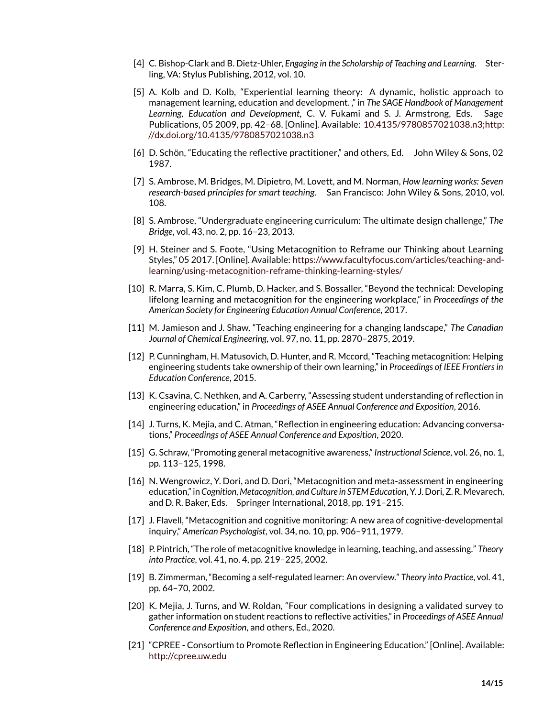- <span id="page-13-0"></span>[4] C. Bishop-Clark and B. Dietz-Uhler, *Engaging in the Scholarship of Teaching and Learning*. Sterling, VA: Stylus Publishing, 2012, vol. 10.
- <span id="page-13-1"></span>[5] A. Kolb and D. Kolb, "Experiential learning theory: A dynamic, holistic approach to management learning, education and development. ," in *The SAGE Handbook of Management Learning, Education and Development*, C. V. Fukami and S. J. Armstrong, Eds. Sage Publications, 05 2009, pp. 42–68. [Online]. Available: [10.4135/9780857021038.n3;http:](10.4135/9780857021038.n3; http://dx.doi.org/10.4135/9780857021038.n3) [//dx.doi.org/10.4135/9780857021038.n3](10.4135/9780857021038.n3; http://dx.doi.org/10.4135/9780857021038.n3)
- <span id="page-13-2"></span>[6] D. Schön, "Educating the reflective practitioner," and others, Ed. John Wiley & Sons, 02 1987.
- <span id="page-13-3"></span>[7] S. Ambrose, M. Bridges, M. Dipietro, M. Lovett, and M. Norman, *How learning works: Seven research-based principles for smart teaching*. San Francisco: John Wiley & Sons, 2010, vol. 108.
- <span id="page-13-5"></span>[8] S. Ambrose, "Undergraduate engineering curriculum: The ultimate design challenge," *The Bridge*, vol. 43, no. 2, pp. 16–23, 2013.
- <span id="page-13-9"></span>[9] H. Steiner and S. Foote, "Using Metacognition to Reframe our Thinking about Learning Styles," 05 2017. [Online]. Available: [https://www.facultyfocus.com/articles/teaching-and](https://www.facultyfocus.com/articles/teaching-and-learning/using-metacognition-reframe-thinking-learning-styles/)[learning/using-metacognition-reframe-thinking-learning-styles/](https://www.facultyfocus.com/articles/teaching-and-learning/using-metacognition-reframe-thinking-learning-styles/)
- <span id="page-13-6"></span>[10] R. Marra, S. Kim, C. Plumb, D. Hacker, and S. Bossaller, "Beyond the technical: Developing lifelong learning and metacognition for the engineering workplace," in *Proceedings of the American Society for Engineering Education Annual Conference*, 2017.
- <span id="page-13-4"></span>[11] M. Jamieson and J. Shaw, "Teaching engineering for a changing landscape," *The Canadian Journal of Chemical Engineering*, vol. 97, no. 11, pp. 2870–2875, 2019.
- <span id="page-13-7"></span>[12] P. Cunningham, H. Matusovich, D. Hunter, and R. Mccord, "Teaching metacognition: Helping engineering students take ownership of their own learning," in *Proceedings of IEEE Frontiers in Education Conference*, 2015.
- <span id="page-13-8"></span>[13] K. Csavina, C. Nethken, and A. Carberry, "Assessing student understanding of reflection in engineering education," in *Proceedings of ASEE Annual Conference and Exposition*, 2016.
- <span id="page-13-10"></span>[14] J. Turns, K. Mejia, and C. Atman, "Reflection in engineering education: Advancing conversations," *Proceedings of ASEE Annual Conference and Exposition*, 2020.
- <span id="page-13-11"></span>[15] G. Schraw, "Promoting general metacognitive awareness," *Instructional Science*, vol. 26, no. 1, pp. 113–125, 1998.
- <span id="page-13-12"></span>[16] N. Wengrowicz, Y. Dori, and D. Dori, "Metacognition and meta-assessment in engineering education," in *Cognition, Metacognition, and Culture in STEM Education*, Y. J. Dori, Z. R. Mevarech, and D. R. Baker, Eds. Springer International, 2018, pp. 191–215.
- <span id="page-13-13"></span>[17] J. Flavell, "Metacognition and cognitive monitoring: A new area of cognitive-developmental inquiry," *American Psychologist*, vol. 34, no. 10, pp. 906–911, 1979.
- <span id="page-13-14"></span>[18] P. Pintrich, "The role of metacognitive knowledge in learning, teaching, and assessing." *Theory into Practice*, vol. 41, no. 4, pp. 219–225, 2002.
- <span id="page-13-15"></span>[19] B. Zimmerman, "Becoming a self-regulated learner: An overview." *Theory into Practice*, vol. 41, pp. 64–70, 2002.
- <span id="page-13-16"></span>[20] K. Mejia, J. Turns, and W. Roldan, "Four complications in designing a validated survey to gather information on student reactions to reflective activities," in *Proceedings of ASEE Annual Conference and Exposition*, and others, Ed., 2020.
- <span id="page-13-17"></span>[21] "CPREE - Consortium to Promote Reflection in Engineering Education." [Online]. Available: <http://cpree.uw.edu>